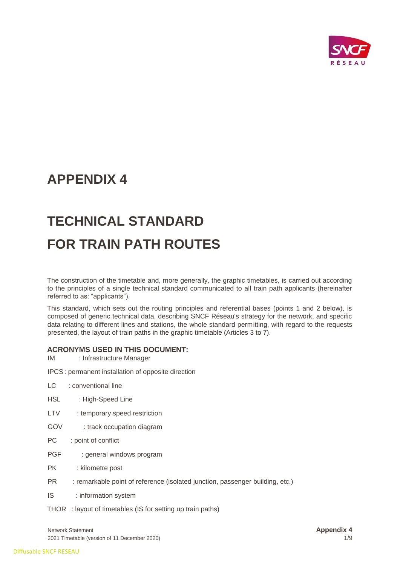

# **APPENDIX 4**

# **TECHNICAL STANDARD FOR TRAIN PATH ROUTES**

The construction of the timetable and, more generally, the graphic timetables, is carried out according to the principles of a single technical standard communicated to all train path applicants (hereinafter referred to as: "applicants").

This standard, which sets out the routing principles and referential bases (points 1 and 2 below), is composed of generic technical data, describing SNCF Réseau's strategy for the network, and specific data relating to different lines and stations, the whole standard permitting, with regard to the requests presented, the layout of train paths in the graphic timetable (Articles 3 to 7).

## **ACRONYMS USED IN THIS DOCUMENT:**

IM : Infrastructure Manager

IPCS: permanent installation of opposite direction

- LC : conventional line
- HSL : High-Speed Line
- LTV : temporary speed restriction
- GOV : track occupation diagram
- PC : point of conflict
- PGF : general windows program
- PK : kilometre post
- PR : remarkable point of reference (isolated junction, passenger building, etc.)
- IS : information system

THOR : layout of timetables (IS for setting up train paths)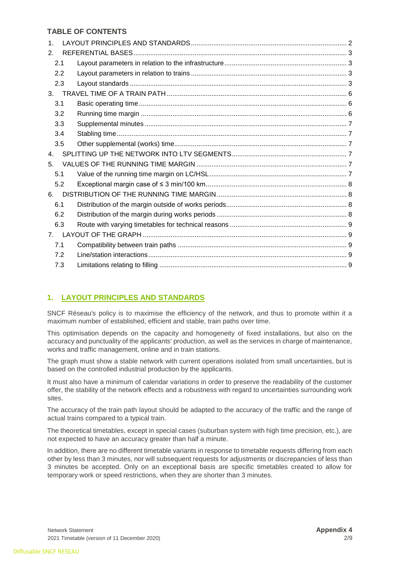# **TABLE OF CONTENTS**

| $\mathbf{1}$   |  |
|----------------|--|
| 2.             |  |
| 2.1            |  |
| 2.2            |  |
| 2.3            |  |
| 3.             |  |
| 3.1            |  |
| 3.2            |  |
| 3.3            |  |
| 3.4            |  |
| 3.5            |  |
| 4 <sup>1</sup> |  |
| 5 <sub>1</sub> |  |
| 5.1            |  |
| 5.2            |  |
| 6.             |  |
| 6.1            |  |
| 6.2            |  |
| 6.3            |  |
|                |  |
| 7.1            |  |
| 7.2            |  |
| 7.3            |  |

# <span id="page-1-0"></span>**1. LAYOUT PRINCIPLES AND STANDARDS**

SNCF Réseau's policy is to maximise the efficiency of the network, and thus to promote within it a maximum number of established, efficient and stable, train paths over time.

This optimisation depends on the capacity and homogeneity of fixed installations, but also on the accuracy and punctuality of the applicants' production, as well as the services in charge of maintenance, works and traffic management, online and in train stations.

The graph must show a stable network with current operations isolated from small uncertainties, but is based on the controlled industrial production by the applicants.

It must also have a minimum of calendar variations in order to preserve the readability of the customer offer, the stability of the network effects and a robustness with regard to uncertainties surrounding work sites.

The accuracy of the train path layout should be adapted to the accuracy of the traffic and the range of actual trains compared to a typical train.

The theoretical timetables, except in special cases (suburban system with high time precision, etc.), are not expected to have an accuracy greater than half a minute.

In addition, there are no different timetable variants in response to timetable requests differing from each other by less than 3 minutes, nor will subsequent requests for adjustments or discrepancies of less than 3 minutes be accepted. Only on an exceptional basis are specific timetables created to allow for temporary work or speed restrictions, when they are shorter than 3 minutes.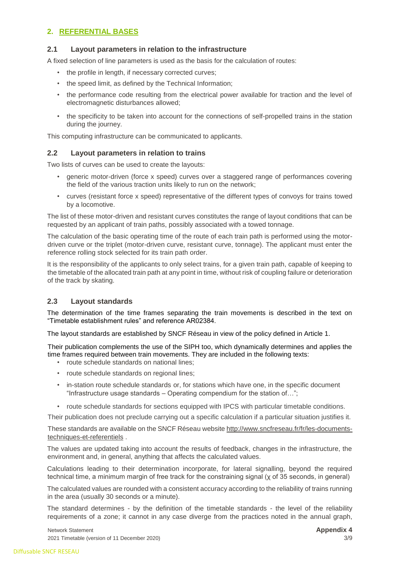# <span id="page-2-0"></span>**2. REFERENTIAL BASES**

#### <span id="page-2-1"></span>**2.1 Layout parameters in relation to the infrastructure**

A fixed selection of line parameters is used as the basis for the calculation of routes:

- the profile in length, if necessary corrected curves;
- the speed limit, as defined by the Technical Information;
- the performance code resulting from the electrical power available for traction and the level of electromagnetic disturbances allowed;
- the specificity to be taken into account for the connections of self-propelled trains in the station during the journey.

This computing infrastructure can be communicated to applicants.

#### <span id="page-2-2"></span>**2.2 Layout parameters in relation to trains**

Two lists of curves can be used to create the layouts:

- generic motor-driven (force x speed) curves over a staggered range of performances covering the field of the various traction units likely to run on the network;
- curves (resistant force x speed) representative of the different types of convoys for trains towed by a locomotive.

The list of these motor-driven and resistant curves constitutes the range of layout conditions that can be requested by an applicant of train paths, possibly associated with a towed tonnage.

The calculation of the basic operating time of the route of each train path is performed using the motordriven curve or the triplet (motor-driven curve, resistant curve, tonnage). The applicant must enter the reference rolling stock selected for its train path order.

It is the responsibility of the applicants to only select trains, for a given train path, capable of keeping to the timetable of the allocated train path at any point in time, without risk of coupling failure or deterioration of the track by skating.

#### <span id="page-2-3"></span>**2.3 Layout standards**

The determination of the time frames separating the train movements is described in the text on "Timetable establishment rules" and reference AR02384.

The layout standards are established by SNCF Réseau in view of the policy defined in Article 1.

Their publication complements the use of the SIPH too, which dynamically determines and applies the time frames required between train movements. They are included in the following texts:

- route schedule standards on national lines;
- route schedule standards on regional lines;
- in-station route schedule standards or, for stations which have one, in the specific document "Infrastructure usage standards – Operating compendium for the station of…";
- route schedule standards for sections equipped with IPCS with particular timetable conditions.

Their publication does not preclude carrying out a specific calculation if a particular situation justifies it.

These standards are available on the SNCF Réseau website [http://www.sncfreseau.fr/fr/les-documents](http://www.sncf-reseau.fr/fr/les-documents-techniques-et-referentiels)[techniques-et-referentiels](http://www.sncf-reseau.fr/fr/les-documents-techniques-et-referentiels) [.](http://www.sncf-reseau.fr/fr/les-documents-techniques-et-referentiels)

The values are updated taking into account the results of feedback, changes in the infrastructure, the environment and, in general, anything that affects the calculated values.

Calculations leading to their determination incorporate, for lateral signalling, beyond the required technical time, a minimum margin of free track for the constraining signal (χ of 35 seconds, in general)

The calculated values are rounded with a consistent accuracy according to the reliability of trains running in the area (usually 30 seconds or a minute).

The standard determines - by the definition of the timetable standards - the level of the reliability requirements of a zone; it cannot in any case diverge from the practices noted in the annual graph,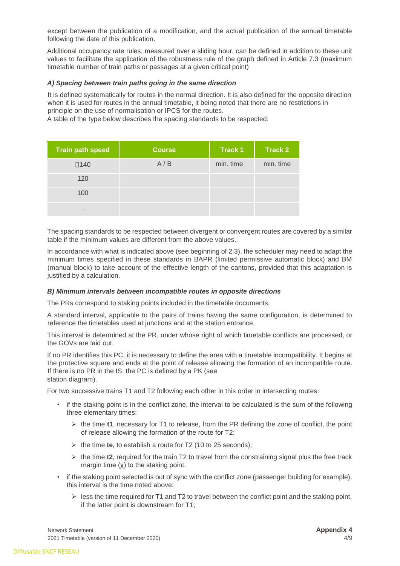except between the publication of a modification, and the actual publication of the annual timetable following the date of this publication.

Additional occupancy rate rules, measured over a sliding hour, can be defined in addition to these unit values to facilitate the application of the robustness rule of the graph defined in Article 7.3 (maximum timetable number of train paths or passages at a given critical point)

#### *A) Spacing between train paths going in the same direction*

It is defined systematically for routes in the normal direction. It is also defined for the opposite direction when it is used for routes in the annual timetable, it being noted that there are no restrictions in principle on the use of normalisation or IPCS for the routes.

A table of the type below describes the spacing standards to be respected:

| <b>Train path speed</b> | <b>Course</b> | <b>Track 1</b> | <b>Track 2</b> |
|-------------------------|---------------|----------------|----------------|
| $\square$ 140           | A/B           | min. time      | min. time      |
| 120                     |               |                |                |
| 100                     |               |                |                |
| 1.1.1                   |               |                |                |

The spacing standards to be respected between divergent or convergent routes are covered by a similar table if the minimum values are different from the above values.

In accordance with what is indicated above (see beginning of 2.3), the scheduler may need to adapt the minimum times specified in these standards in BAPR (limited permissive automatic block) and BM (manual block) to take account of the effective length of the cantons, provided that this adaptation is justified by a calculation.

#### *B) Minimum intervals between incompatible routes in opposite directions*

The PRs correspond to staking points included in the timetable documents.

A standard interval, applicable to the pairs of trains having the same configuration, is determined to reference the timetables used at junctions and at the station entrance.

This interval is determined at the PR, under whose right of which timetable conflicts are processed, or the GOVs are laid out.

If no PR identifies this PC, it is necessary to define the area with a timetable incompatibility. It begins at the protective square and ends at the point of release allowing the formation of an incompatible route. If there is no PR in the IS, the PC is defined by a PK (see station diagram).

For two successive trains T1 and T2 following each other in this order in intersecting routes:

- if the staking point is in the conflict zone, the interval to be calculated is the sum of the following three elementary times:
	- ➢ the time **t1**, necessary for T1 to release, from the PR defining the zone of conflict, the point of release allowing the formation of the route for T2;
	- ➢ the time **te**, to establish a route for T2 (10 to 25 seconds);
	- $\triangleright$  the time **t2**, required for the train T2 to travel from the constraining signal plus the free track margin time (χ) to the staking point.
- if the staking point selected is out of sync with the conflict zone (passenger building for example), this interval is the time noted above:
	- $\geq$  less the time required for T1 and T2 to travel between the conflict point and the staking point, if the latter point is downstream for T1;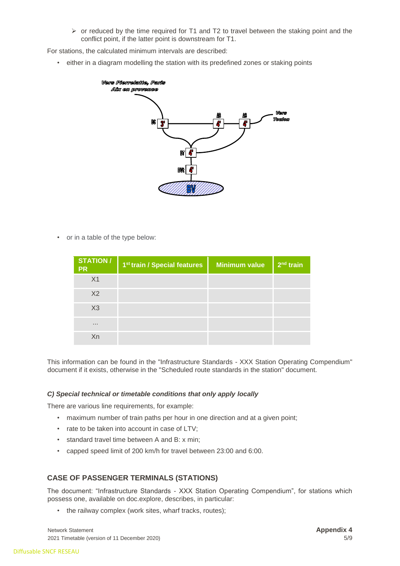$\triangleright$  or reduced by the time required for T1 and T2 to travel between the staking point and the conflict point, if the latter point is downstream for T1.

For stations, the calculated minimum intervals are described:

• either in a diagram modelling the station with its predefined zones or staking points



• or in a table of the type below:

| STATION /<br><b>PR</b> | 1 <sup>st</sup> train / Special features | <b>Minimum value</b> | $2nd$ train |
|------------------------|------------------------------------------|----------------------|-------------|
| X <sub>1</sub>         |                                          |                      |             |
| X <sub>2</sub>         |                                          |                      |             |
| X3                     |                                          |                      |             |
| 1.1.1                  |                                          |                      |             |
| Xn                     |                                          |                      |             |

This information can be found in the "Infrastructure Standards - XXX Station Operating Compendium" document if it exists, otherwise in the "Scheduled route standards in the station" document.

#### *C) Special technical or timetable conditions that only apply locally*

There are various line requirements, for example:

- maximum number of train paths per hour in one direction and at a given point;
- rate to be taken into account in case of LTV;
- standard travel time between A and B: x min;
- capped speed limit of 200 km/h for travel between 23:00 and 6:00.

## **CASE OF PASSENGER TERMINALS (STATIONS)**

The document: "Infrastructure Standards - XXX Station Operating Compendium", for stations which possess one, available on doc.explore, describes, in particular:

• the railway complex (work sites, wharf tracks, routes);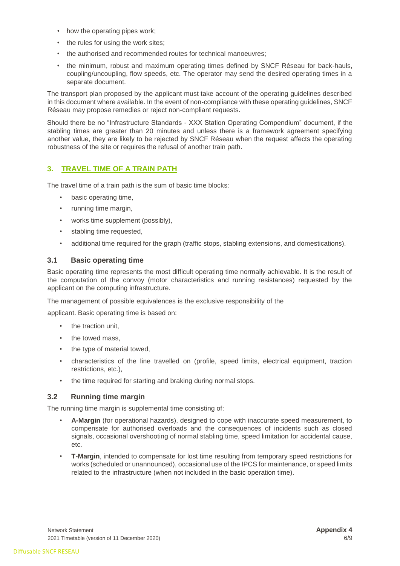- how the operating pipes work;
- the rules for using the work sites:
- the authorised and recommended routes for technical manoeuvres;
- the minimum, robust and maximum operating times defined by SNCF Réseau for back-hauls, coupling/uncoupling, flow speeds, etc. The operator may send the desired operating times in a separate document.

The transport plan proposed by the applicant must take account of the operating guidelines described in this document where available. In the event of non-compliance with these operating guidelines, SNCF Réseau may propose remedies or reject non-compliant requests.

Should there be no "Infrastructure Standards - XXX Station Operating Compendium" document, if the stabling times are greater than 20 minutes and unless there is a framework agreement specifying another value, they are likely to be rejected by SNCF Réseau when the request affects the operating robustness of the site or requires the refusal of another train path.

# <span id="page-5-0"></span>**3. TRAVEL TIME OF A TRAIN PATH**

The travel time of a train path is the sum of basic time blocks:

- basic operating time,
- running time margin,
- works time supplement (possibly),
- stabling time requested,
- additional time required for the graph (traffic stops, stabling extensions, and domestications).

#### <span id="page-5-1"></span>**3.1 Basic operating time**

Basic operating time represents the most difficult operating time normally achievable. It is the result of the computation of the convoy (motor characteristics and running resistances) requested by the applicant on the computing infrastructure.

The management of possible equivalences is the exclusive responsibility of the

applicant. Basic operating time is based on:

- the traction unit,
- the towed mass.
- the type of material towed,
- characteristics of the line travelled on (profile, speed limits, electrical equipment, traction restrictions, etc.),
- the time required for starting and braking during normal stops.

## <span id="page-5-2"></span>**3.2 Running time margin**

The running time margin is supplemental time consisting of:

- **A-Margin** (for operational hazards), designed to cope with inaccurate speed measurement, to compensate for authorised overloads and the consequences of incidents such as closed signals, occasional overshooting of normal stabling time, speed limitation for accidental cause, etc.
- **T-Margin**, intended to compensate for lost time resulting from temporary speed restrictions for works (scheduled or unannounced), occasional use of the IPCS for maintenance, or speed limits related to the infrastructure (when not included in the basic operation time).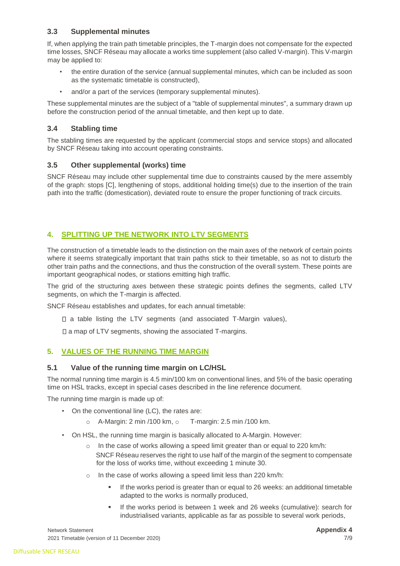# <span id="page-6-0"></span>**3.3 Supplemental minutes**

If, when applying the train path timetable principles, the T-margin does not compensate for the expected time losses, SNCF Réseau may allocate a works time supplement (also called V-margin). This V-margin may be applied to:

- the entire duration of the service (annual supplemental minutes, which can be included as soon as the systematic timetable is constructed),
- and/or a part of the services (temporary supplemental minutes).

These supplemental minutes are the subject of a "table of supplemental minutes", a summary drawn up before the construction period of the annual timetable, and then kept up to date.

# <span id="page-6-1"></span>**3.4 Stabling time**

The stabling times are requested by the applicant (commercial stops and service stops) and allocated by SNCF Réseau taking into account operating constraints.

## <span id="page-6-2"></span>**3.5 Other supplemental (works) time**

SNCF Réseau may include other supplemental time due to constraints caused by the mere assembly of the graph: stops [C], lengthening of stops, additional holding time(s) due to the insertion of the train path into the traffic (domestication), deviated route to ensure the proper functioning of track circuits.

# <span id="page-6-3"></span>**4. SPLITTING UP THE NETWORK INTO LTV SEGMENTS**

The construction of a timetable leads to the distinction on the main axes of the network of certain points where it seems strategically important that train paths stick to their timetable, so as not to disturb the other train paths and the connections, and thus the construction of the overall system. These points are important geographical nodes, or stations emitting high traffic.

The grid of the structuring axes between these strategic points defines the segments, called LTV segments, on which the T-margin is affected.

SNCF Réseau establishes and updates, for each annual timetable:

- $\Box$  a table listing the LTV segments (and associated T-Margin values),
- $\square$  a map of LTV segments, showing the associated T-margins.

## <span id="page-6-4"></span>**5. VALUES OF THE RUNNING TIME MARGIN**

#### <span id="page-6-5"></span>**5.1 Value of the running time margin on LC/HSL**

The normal running time margin is 4.5 min/100 km on conventional lines, and 5% of the basic operating time on HSL tracks, except in special cases described in the line reference document.

The running time margin is made up of:

- On the conventional line (LC), the rates are:
	- $\circ$  A-Margin: 2 min /100 km,  $\circ$  T-margin: 2.5 min /100 km.
- On HSL, the running time margin is basically allocated to A-Margin. However:
	- $\circ$  In the case of works allowing a speed limit greater than or equal to 220 km/h: SNCF Réseau reserves the right to use half of the margin of the segment to compensate for the loss of works time, without exceeding 1 minute 30.
	- o In the case of works allowing a speed limit less than 220 km/h:
		- **EXECT** If the works period is greater than or equal to 26 weeks: an additional timetable adapted to the works is normally produced,
		- If the works period is between 1 week and 26 weeks (cumulative): search for industrialised variants, applicable as far as possible to several work periods,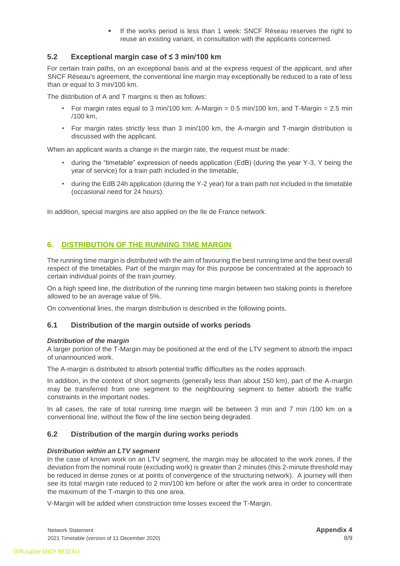If the works period is less than 1 week: SNCF Réseau reserves the right to reuse an existing variant, in consultation with the applicants concerned.

# <span id="page-7-0"></span>**5.2 Exceptional margin case of ≤ 3 min/100 km**

For certain train paths, on an exceptional basis and at the express request of the applicant, and after SNCF Réseau's agreement, the conventional line margin may exceptionally be reduced to a rate of less than or equal to 3 min/100 km.

The distribution of A and T margins is then as follows:

- For margin rates equal to 3 min/100 km: A-Margin =  $0.5$  min/100 km, and T-Margin =  $2.5$  min /100 km,
- For margin rates strictly less than 3 min/100 km, the A-margin and T-margin distribution is discussed with the applicant.

When an applicant wants a change in the margin rate, the request must be made:

- during the "timetable" expression of needs application (EdB) (during the year Y-3, Y being the year of service) for a train path included in the timetable,
- during the EdB 24h application (during the Y-2 year) for a train path not included in the timetable (occasional need for 24 hours).

In addition, special margins are also applied on the Ile de France network.

# <span id="page-7-1"></span>**6. DISTRIBUTION OF THE RUNNING TIME MARGIN**

The running time margin is distributed with the aim of favouring the best running time and the best overall respect of the timetables. Part of the margin may for this purpose be concentrated at the approach to certain individual points of the train journey.

On a high speed line, the distribution of the running time margin between two staking points is therefore allowed to be an average value of 5%.

On conventional lines, the margin distribution is described in the following points.

## <span id="page-7-2"></span>**6.1 Distribution of the margin outside of works periods**

#### *Distribution of the margin*

A larger portion of the T-Margin may be positioned at the end of the LTV segment to absorb the impact of unannounced work.

The A-margin is distributed to absorb potential traffic difficulties as the nodes approach.

In addition, in the context of short segments (generally less than about 150 km), part of the A-margin may be transferred from one segment to the neighbouring segment to better absorb the traffic constraints in the important nodes.

In all cases, the rate of total running time margin will be between 3 min and 7 min /100 km on a conventional line, without the flow of the line section being degraded.

## <span id="page-7-3"></span>**6.2 Distribution of the margin during works periods**

#### *Distribution within an LTV segment*

In the case of known work on an LTV segment, the margin may be allocated to the work zones, if the deviation from the nominal route (excluding work) is greater than 2 minutes (this 2-minute threshold may be reduced in dense zones or at points of convergence of the structuring network). A journey will then see its total margin rate reduced to 2 min/100 km before or after the work area in order to concentrate the maximum of the T-margin to this one area.

V-Margin will be added when construction time losses exceed the T-Margin.